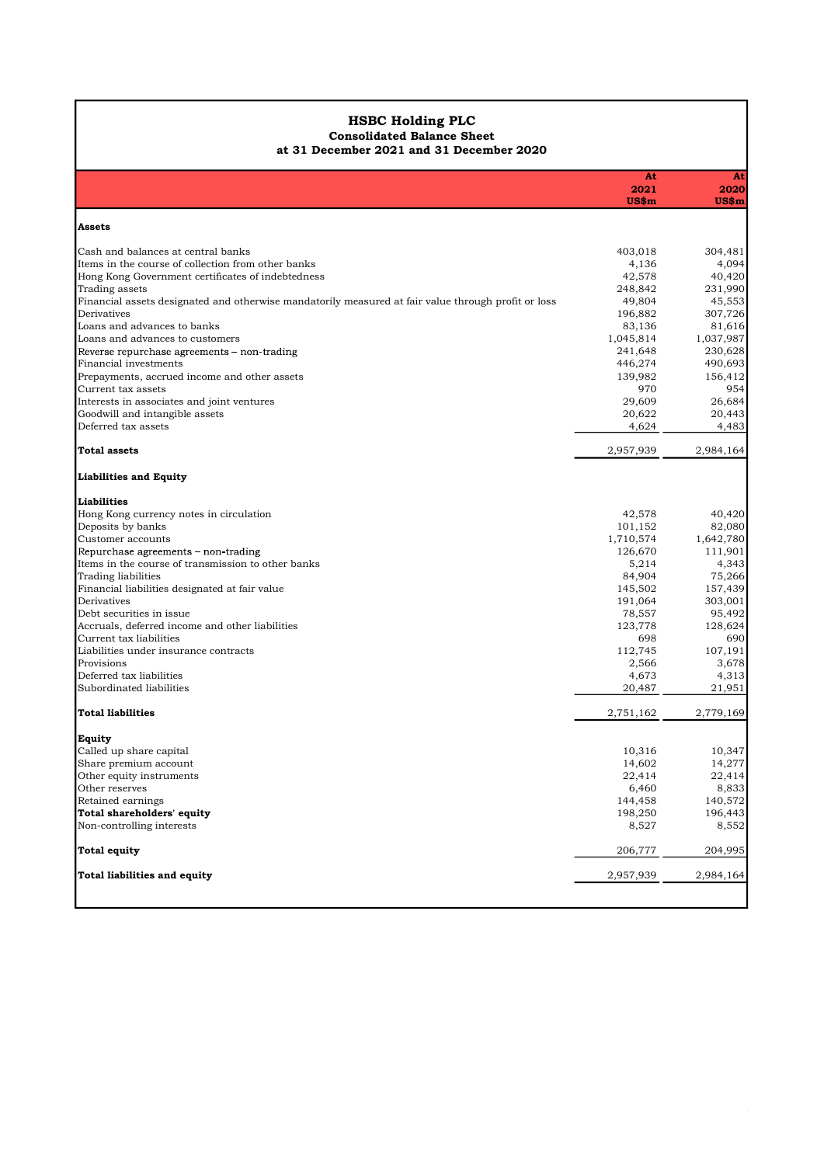### HSBC Holding PLC Consolidated Balance Sheet

#### at 31 December 2021 and 31 December 2020

| <b>HSBC Holding PLC</b><br><b>Consolidated Balance Sheet</b><br>at 31 December 2021 and 31 December 2020<br>At<br>At<br>2021<br>2020<br>$US\$ m<br>US\$m<br>Assets<br>Cash and balances at central banks<br>403,018<br>304,481<br>Items in the course of collection from other banks<br>4,136<br>4,094<br>42,578<br>40,420<br>Hong Kong Government certificates of indebtedness<br>Trading assets<br>248,842<br>231,990<br>49,804<br>45,553<br>Financial assets designated and otherwise mandatorily measured at fair value through profit or loss<br>Derivatives<br>196,882<br>307,726<br>Loans and advances to banks<br>83,136<br>81,616<br>Loans and advances to customers<br>1,037,987<br>1,045,814<br>230,628<br>Reverse repurchase agreements - non-trading<br>241,648<br>Financial investments<br>446,274<br>490,693<br>139,982<br>156,412<br>Prepayments, accrued income and other assets<br>Current tax assets<br>970<br>954<br>29,609<br>26,684<br>Interests in associates and joint ventures<br>Goodwill and intangible assets<br>20,443<br>20,622<br>Deferred tax assets<br>4,624<br>4,483<br>2,957,939<br><b>Total assets</b><br>2,984,164<br>Liabilities and Equity<br>Liabilities<br>Hong Kong currency notes in circulation<br>42,578<br>40,420<br>Deposits by banks<br>101,152<br>82,080<br>Customer accounts<br>1,710,574<br>1,642,780<br>Repurchase agreements - non-trading<br>126,670<br>111,901<br>Items in the course of transmission to other banks<br>5,214<br>4,343<br>Trading liabilities<br>84,904<br>75,266<br>Financial liabilities designated at fair value<br>145,502<br>157,439<br>Derivatives<br>191,064<br>303,001<br>78,557<br>95,492<br>Debt securities in issue<br>Accruals, deferred income and other liabilities<br>123,778<br>128,624<br>Current tax liabilities<br>698<br>690<br>Liabilities under insurance contracts<br>112,745<br>107,191<br>Provisions<br>2,566<br>3,678<br>Deferred tax liabilities<br>4,673<br>4,313<br>Subordinated liabilities<br>20,487<br>21,951<br>2,751,162<br>2,779,169<br><b>Total liabilities</b><br>Equity<br>Called up share capital<br>10,316<br>10,347<br>14,277<br>Share premium account<br>14,602<br>Other equity instruments<br>22,414<br>22,414<br>Other reserves<br>6,460<br>8,833<br>140,572<br>144,458<br>Retained earnings<br>Total shareholders' equity<br>198,250<br>196,443<br>8,527<br>8,552<br>Non-controlling interests<br>206,777<br>204,995<br>Total equity |                              |           |           |
|----------------------------------------------------------------------------------------------------------------------------------------------------------------------------------------------------------------------------------------------------------------------------------------------------------------------------------------------------------------------------------------------------------------------------------------------------------------------------------------------------------------------------------------------------------------------------------------------------------------------------------------------------------------------------------------------------------------------------------------------------------------------------------------------------------------------------------------------------------------------------------------------------------------------------------------------------------------------------------------------------------------------------------------------------------------------------------------------------------------------------------------------------------------------------------------------------------------------------------------------------------------------------------------------------------------------------------------------------------------------------------------------------------------------------------------------------------------------------------------------------------------------------------------------------------------------------------------------------------------------------------------------------------------------------------------------------------------------------------------------------------------------------------------------------------------------------------------------------------------------------------------------------------------------------------------------------------------------------------------------------------------------------------------------------------------------------------------------------------------------------------------------------------------------------------------------------------------------------------------------------------------------------------------------------------------------------------------------------------------------------------------------------------------------------------------------------------|------------------------------|-----------|-----------|
|                                                                                                                                                                                                                                                                                                                                                                                                                                                                                                                                                                                                                                                                                                                                                                                                                                                                                                                                                                                                                                                                                                                                                                                                                                                                                                                                                                                                                                                                                                                                                                                                                                                                                                                                                                                                                                                                                                                                                                                                                                                                                                                                                                                                                                                                                                                                                                                                                                                          |                              |           |           |
|                                                                                                                                                                                                                                                                                                                                                                                                                                                                                                                                                                                                                                                                                                                                                                                                                                                                                                                                                                                                                                                                                                                                                                                                                                                                                                                                                                                                                                                                                                                                                                                                                                                                                                                                                                                                                                                                                                                                                                                                                                                                                                                                                                                                                                                                                                                                                                                                                                                          |                              |           |           |
|                                                                                                                                                                                                                                                                                                                                                                                                                                                                                                                                                                                                                                                                                                                                                                                                                                                                                                                                                                                                                                                                                                                                                                                                                                                                                                                                                                                                                                                                                                                                                                                                                                                                                                                                                                                                                                                                                                                                                                                                                                                                                                                                                                                                                                                                                                                                                                                                                                                          |                              |           |           |
|                                                                                                                                                                                                                                                                                                                                                                                                                                                                                                                                                                                                                                                                                                                                                                                                                                                                                                                                                                                                                                                                                                                                                                                                                                                                                                                                                                                                                                                                                                                                                                                                                                                                                                                                                                                                                                                                                                                                                                                                                                                                                                                                                                                                                                                                                                                                                                                                                                                          |                              |           |           |
|                                                                                                                                                                                                                                                                                                                                                                                                                                                                                                                                                                                                                                                                                                                                                                                                                                                                                                                                                                                                                                                                                                                                                                                                                                                                                                                                                                                                                                                                                                                                                                                                                                                                                                                                                                                                                                                                                                                                                                                                                                                                                                                                                                                                                                                                                                                                                                                                                                                          |                              |           |           |
|                                                                                                                                                                                                                                                                                                                                                                                                                                                                                                                                                                                                                                                                                                                                                                                                                                                                                                                                                                                                                                                                                                                                                                                                                                                                                                                                                                                                                                                                                                                                                                                                                                                                                                                                                                                                                                                                                                                                                                                                                                                                                                                                                                                                                                                                                                                                                                                                                                                          |                              |           |           |
|                                                                                                                                                                                                                                                                                                                                                                                                                                                                                                                                                                                                                                                                                                                                                                                                                                                                                                                                                                                                                                                                                                                                                                                                                                                                                                                                                                                                                                                                                                                                                                                                                                                                                                                                                                                                                                                                                                                                                                                                                                                                                                                                                                                                                                                                                                                                                                                                                                                          |                              |           |           |
|                                                                                                                                                                                                                                                                                                                                                                                                                                                                                                                                                                                                                                                                                                                                                                                                                                                                                                                                                                                                                                                                                                                                                                                                                                                                                                                                                                                                                                                                                                                                                                                                                                                                                                                                                                                                                                                                                                                                                                                                                                                                                                                                                                                                                                                                                                                                                                                                                                                          |                              |           |           |
|                                                                                                                                                                                                                                                                                                                                                                                                                                                                                                                                                                                                                                                                                                                                                                                                                                                                                                                                                                                                                                                                                                                                                                                                                                                                                                                                                                                                                                                                                                                                                                                                                                                                                                                                                                                                                                                                                                                                                                                                                                                                                                                                                                                                                                                                                                                                                                                                                                                          |                              |           |           |
|                                                                                                                                                                                                                                                                                                                                                                                                                                                                                                                                                                                                                                                                                                                                                                                                                                                                                                                                                                                                                                                                                                                                                                                                                                                                                                                                                                                                                                                                                                                                                                                                                                                                                                                                                                                                                                                                                                                                                                                                                                                                                                                                                                                                                                                                                                                                                                                                                                                          |                              |           |           |
|                                                                                                                                                                                                                                                                                                                                                                                                                                                                                                                                                                                                                                                                                                                                                                                                                                                                                                                                                                                                                                                                                                                                                                                                                                                                                                                                                                                                                                                                                                                                                                                                                                                                                                                                                                                                                                                                                                                                                                                                                                                                                                                                                                                                                                                                                                                                                                                                                                                          |                              |           |           |
|                                                                                                                                                                                                                                                                                                                                                                                                                                                                                                                                                                                                                                                                                                                                                                                                                                                                                                                                                                                                                                                                                                                                                                                                                                                                                                                                                                                                                                                                                                                                                                                                                                                                                                                                                                                                                                                                                                                                                                                                                                                                                                                                                                                                                                                                                                                                                                                                                                                          |                              |           |           |
|                                                                                                                                                                                                                                                                                                                                                                                                                                                                                                                                                                                                                                                                                                                                                                                                                                                                                                                                                                                                                                                                                                                                                                                                                                                                                                                                                                                                                                                                                                                                                                                                                                                                                                                                                                                                                                                                                                                                                                                                                                                                                                                                                                                                                                                                                                                                                                                                                                                          |                              |           |           |
|                                                                                                                                                                                                                                                                                                                                                                                                                                                                                                                                                                                                                                                                                                                                                                                                                                                                                                                                                                                                                                                                                                                                                                                                                                                                                                                                                                                                                                                                                                                                                                                                                                                                                                                                                                                                                                                                                                                                                                                                                                                                                                                                                                                                                                                                                                                                                                                                                                                          |                              |           |           |
|                                                                                                                                                                                                                                                                                                                                                                                                                                                                                                                                                                                                                                                                                                                                                                                                                                                                                                                                                                                                                                                                                                                                                                                                                                                                                                                                                                                                                                                                                                                                                                                                                                                                                                                                                                                                                                                                                                                                                                                                                                                                                                                                                                                                                                                                                                                                                                                                                                                          |                              |           |           |
|                                                                                                                                                                                                                                                                                                                                                                                                                                                                                                                                                                                                                                                                                                                                                                                                                                                                                                                                                                                                                                                                                                                                                                                                                                                                                                                                                                                                                                                                                                                                                                                                                                                                                                                                                                                                                                                                                                                                                                                                                                                                                                                                                                                                                                                                                                                                                                                                                                                          |                              |           |           |
|                                                                                                                                                                                                                                                                                                                                                                                                                                                                                                                                                                                                                                                                                                                                                                                                                                                                                                                                                                                                                                                                                                                                                                                                                                                                                                                                                                                                                                                                                                                                                                                                                                                                                                                                                                                                                                                                                                                                                                                                                                                                                                                                                                                                                                                                                                                                                                                                                                                          |                              |           |           |
|                                                                                                                                                                                                                                                                                                                                                                                                                                                                                                                                                                                                                                                                                                                                                                                                                                                                                                                                                                                                                                                                                                                                                                                                                                                                                                                                                                                                                                                                                                                                                                                                                                                                                                                                                                                                                                                                                                                                                                                                                                                                                                                                                                                                                                                                                                                                                                                                                                                          |                              |           |           |
|                                                                                                                                                                                                                                                                                                                                                                                                                                                                                                                                                                                                                                                                                                                                                                                                                                                                                                                                                                                                                                                                                                                                                                                                                                                                                                                                                                                                                                                                                                                                                                                                                                                                                                                                                                                                                                                                                                                                                                                                                                                                                                                                                                                                                                                                                                                                                                                                                                                          |                              |           |           |
|                                                                                                                                                                                                                                                                                                                                                                                                                                                                                                                                                                                                                                                                                                                                                                                                                                                                                                                                                                                                                                                                                                                                                                                                                                                                                                                                                                                                                                                                                                                                                                                                                                                                                                                                                                                                                                                                                                                                                                                                                                                                                                                                                                                                                                                                                                                                                                                                                                                          |                              |           |           |
|                                                                                                                                                                                                                                                                                                                                                                                                                                                                                                                                                                                                                                                                                                                                                                                                                                                                                                                                                                                                                                                                                                                                                                                                                                                                                                                                                                                                                                                                                                                                                                                                                                                                                                                                                                                                                                                                                                                                                                                                                                                                                                                                                                                                                                                                                                                                                                                                                                                          |                              |           |           |
|                                                                                                                                                                                                                                                                                                                                                                                                                                                                                                                                                                                                                                                                                                                                                                                                                                                                                                                                                                                                                                                                                                                                                                                                                                                                                                                                                                                                                                                                                                                                                                                                                                                                                                                                                                                                                                                                                                                                                                                                                                                                                                                                                                                                                                                                                                                                                                                                                                                          |                              |           |           |
|                                                                                                                                                                                                                                                                                                                                                                                                                                                                                                                                                                                                                                                                                                                                                                                                                                                                                                                                                                                                                                                                                                                                                                                                                                                                                                                                                                                                                                                                                                                                                                                                                                                                                                                                                                                                                                                                                                                                                                                                                                                                                                                                                                                                                                                                                                                                                                                                                                                          |                              |           |           |
|                                                                                                                                                                                                                                                                                                                                                                                                                                                                                                                                                                                                                                                                                                                                                                                                                                                                                                                                                                                                                                                                                                                                                                                                                                                                                                                                                                                                                                                                                                                                                                                                                                                                                                                                                                                                                                                                                                                                                                                                                                                                                                                                                                                                                                                                                                                                                                                                                                                          |                              |           |           |
|                                                                                                                                                                                                                                                                                                                                                                                                                                                                                                                                                                                                                                                                                                                                                                                                                                                                                                                                                                                                                                                                                                                                                                                                                                                                                                                                                                                                                                                                                                                                                                                                                                                                                                                                                                                                                                                                                                                                                                                                                                                                                                                                                                                                                                                                                                                                                                                                                                                          |                              |           |           |
|                                                                                                                                                                                                                                                                                                                                                                                                                                                                                                                                                                                                                                                                                                                                                                                                                                                                                                                                                                                                                                                                                                                                                                                                                                                                                                                                                                                                                                                                                                                                                                                                                                                                                                                                                                                                                                                                                                                                                                                                                                                                                                                                                                                                                                                                                                                                                                                                                                                          |                              |           |           |
|                                                                                                                                                                                                                                                                                                                                                                                                                                                                                                                                                                                                                                                                                                                                                                                                                                                                                                                                                                                                                                                                                                                                                                                                                                                                                                                                                                                                                                                                                                                                                                                                                                                                                                                                                                                                                                                                                                                                                                                                                                                                                                                                                                                                                                                                                                                                                                                                                                                          |                              |           |           |
|                                                                                                                                                                                                                                                                                                                                                                                                                                                                                                                                                                                                                                                                                                                                                                                                                                                                                                                                                                                                                                                                                                                                                                                                                                                                                                                                                                                                                                                                                                                                                                                                                                                                                                                                                                                                                                                                                                                                                                                                                                                                                                                                                                                                                                                                                                                                                                                                                                                          |                              |           |           |
|                                                                                                                                                                                                                                                                                                                                                                                                                                                                                                                                                                                                                                                                                                                                                                                                                                                                                                                                                                                                                                                                                                                                                                                                                                                                                                                                                                                                                                                                                                                                                                                                                                                                                                                                                                                                                                                                                                                                                                                                                                                                                                                                                                                                                                                                                                                                                                                                                                                          |                              |           |           |
|                                                                                                                                                                                                                                                                                                                                                                                                                                                                                                                                                                                                                                                                                                                                                                                                                                                                                                                                                                                                                                                                                                                                                                                                                                                                                                                                                                                                                                                                                                                                                                                                                                                                                                                                                                                                                                                                                                                                                                                                                                                                                                                                                                                                                                                                                                                                                                                                                                                          |                              |           |           |
|                                                                                                                                                                                                                                                                                                                                                                                                                                                                                                                                                                                                                                                                                                                                                                                                                                                                                                                                                                                                                                                                                                                                                                                                                                                                                                                                                                                                                                                                                                                                                                                                                                                                                                                                                                                                                                                                                                                                                                                                                                                                                                                                                                                                                                                                                                                                                                                                                                                          |                              |           |           |
|                                                                                                                                                                                                                                                                                                                                                                                                                                                                                                                                                                                                                                                                                                                                                                                                                                                                                                                                                                                                                                                                                                                                                                                                                                                                                                                                                                                                                                                                                                                                                                                                                                                                                                                                                                                                                                                                                                                                                                                                                                                                                                                                                                                                                                                                                                                                                                                                                                                          |                              |           |           |
|                                                                                                                                                                                                                                                                                                                                                                                                                                                                                                                                                                                                                                                                                                                                                                                                                                                                                                                                                                                                                                                                                                                                                                                                                                                                                                                                                                                                                                                                                                                                                                                                                                                                                                                                                                                                                                                                                                                                                                                                                                                                                                                                                                                                                                                                                                                                                                                                                                                          |                              |           |           |
|                                                                                                                                                                                                                                                                                                                                                                                                                                                                                                                                                                                                                                                                                                                                                                                                                                                                                                                                                                                                                                                                                                                                                                                                                                                                                                                                                                                                                                                                                                                                                                                                                                                                                                                                                                                                                                                                                                                                                                                                                                                                                                                                                                                                                                                                                                                                                                                                                                                          |                              |           |           |
|                                                                                                                                                                                                                                                                                                                                                                                                                                                                                                                                                                                                                                                                                                                                                                                                                                                                                                                                                                                                                                                                                                                                                                                                                                                                                                                                                                                                                                                                                                                                                                                                                                                                                                                                                                                                                                                                                                                                                                                                                                                                                                                                                                                                                                                                                                                                                                                                                                                          |                              |           |           |
|                                                                                                                                                                                                                                                                                                                                                                                                                                                                                                                                                                                                                                                                                                                                                                                                                                                                                                                                                                                                                                                                                                                                                                                                                                                                                                                                                                                                                                                                                                                                                                                                                                                                                                                                                                                                                                                                                                                                                                                                                                                                                                                                                                                                                                                                                                                                                                                                                                                          |                              |           |           |
|                                                                                                                                                                                                                                                                                                                                                                                                                                                                                                                                                                                                                                                                                                                                                                                                                                                                                                                                                                                                                                                                                                                                                                                                                                                                                                                                                                                                                                                                                                                                                                                                                                                                                                                                                                                                                                                                                                                                                                                                                                                                                                                                                                                                                                                                                                                                                                                                                                                          |                              |           |           |
|                                                                                                                                                                                                                                                                                                                                                                                                                                                                                                                                                                                                                                                                                                                                                                                                                                                                                                                                                                                                                                                                                                                                                                                                                                                                                                                                                                                                                                                                                                                                                                                                                                                                                                                                                                                                                                                                                                                                                                                                                                                                                                                                                                                                                                                                                                                                                                                                                                                          |                              |           |           |
|                                                                                                                                                                                                                                                                                                                                                                                                                                                                                                                                                                                                                                                                                                                                                                                                                                                                                                                                                                                                                                                                                                                                                                                                                                                                                                                                                                                                                                                                                                                                                                                                                                                                                                                                                                                                                                                                                                                                                                                                                                                                                                                                                                                                                                                                                                                                                                                                                                                          |                              |           |           |
|                                                                                                                                                                                                                                                                                                                                                                                                                                                                                                                                                                                                                                                                                                                                                                                                                                                                                                                                                                                                                                                                                                                                                                                                                                                                                                                                                                                                                                                                                                                                                                                                                                                                                                                                                                                                                                                                                                                                                                                                                                                                                                                                                                                                                                                                                                                                                                                                                                                          |                              |           |           |
|                                                                                                                                                                                                                                                                                                                                                                                                                                                                                                                                                                                                                                                                                                                                                                                                                                                                                                                                                                                                                                                                                                                                                                                                                                                                                                                                                                                                                                                                                                                                                                                                                                                                                                                                                                                                                                                                                                                                                                                                                                                                                                                                                                                                                                                                                                                                                                                                                                                          |                              |           |           |
|                                                                                                                                                                                                                                                                                                                                                                                                                                                                                                                                                                                                                                                                                                                                                                                                                                                                                                                                                                                                                                                                                                                                                                                                                                                                                                                                                                                                                                                                                                                                                                                                                                                                                                                                                                                                                                                                                                                                                                                                                                                                                                                                                                                                                                                                                                                                                                                                                                                          |                              |           |           |
|                                                                                                                                                                                                                                                                                                                                                                                                                                                                                                                                                                                                                                                                                                                                                                                                                                                                                                                                                                                                                                                                                                                                                                                                                                                                                                                                                                                                                                                                                                                                                                                                                                                                                                                                                                                                                                                                                                                                                                                                                                                                                                                                                                                                                                                                                                                                                                                                                                                          |                              |           |           |
|                                                                                                                                                                                                                                                                                                                                                                                                                                                                                                                                                                                                                                                                                                                                                                                                                                                                                                                                                                                                                                                                                                                                                                                                                                                                                                                                                                                                                                                                                                                                                                                                                                                                                                                                                                                                                                                                                                                                                                                                                                                                                                                                                                                                                                                                                                                                                                                                                                                          | Total liabilities and equity | 2,957,939 | 2,984,164 |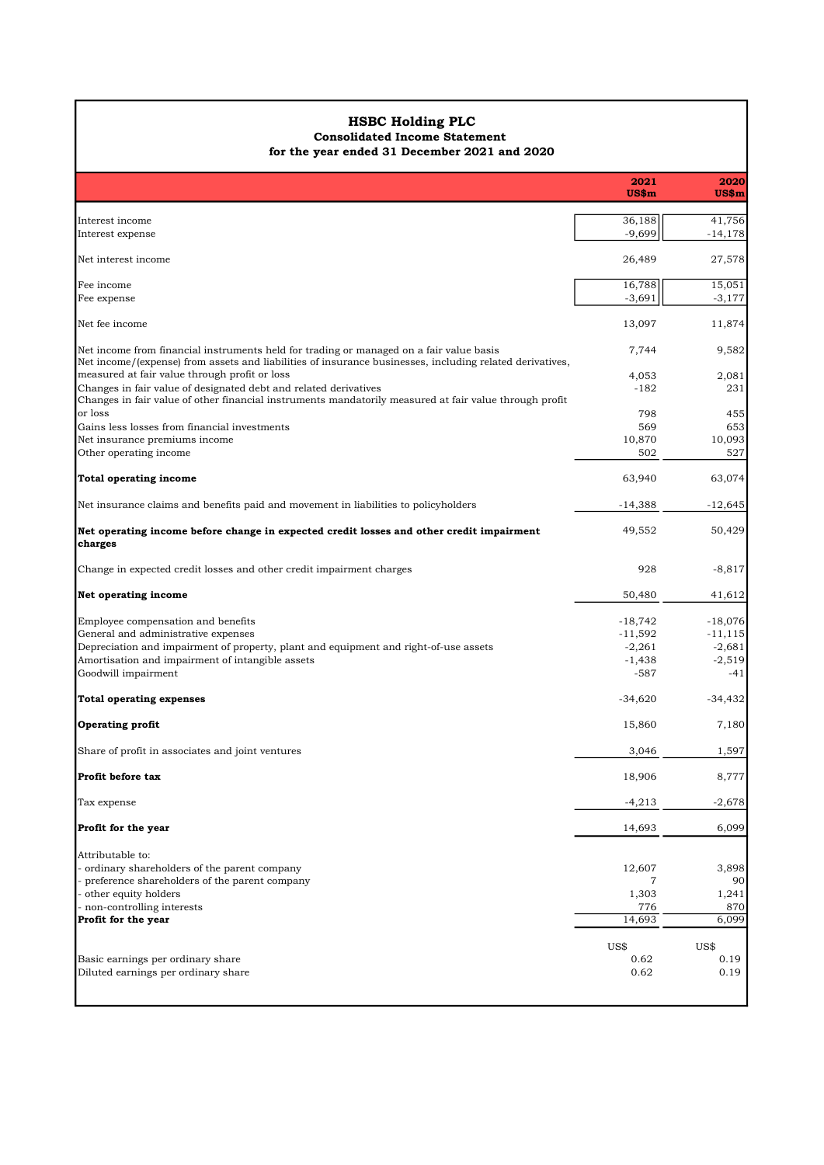# HSBC Holding PLC

## Consolidated Income Statement

| Interest income<br>Interest expense<br>Net interest income<br>Fee income<br>Fee expense                                                                                                                                                                                                                                                                                                                                                | 2021<br>$US\$ m<br>36,188<br>$-9,699$<br>26,489<br>16,788<br>$-3,691$<br>13,097<br>7,744<br>4,053<br>$-182$<br>798<br>569<br>10,870<br>502<br>63,940<br>$-14,388$ | 2020<br>US\$m<br>41,756<br>$-14,178$<br>27,578<br>15,051<br>$-3,177$<br>11,874<br>9,582<br>2,081<br>231<br>455<br>653<br>10,093<br>527<br>63,074<br>$-12,645$ |
|----------------------------------------------------------------------------------------------------------------------------------------------------------------------------------------------------------------------------------------------------------------------------------------------------------------------------------------------------------------------------------------------------------------------------------------|-------------------------------------------------------------------------------------------------------------------------------------------------------------------|---------------------------------------------------------------------------------------------------------------------------------------------------------------|
|                                                                                                                                                                                                                                                                                                                                                                                                                                        |                                                                                                                                                                   |                                                                                                                                                               |
|                                                                                                                                                                                                                                                                                                                                                                                                                                        |                                                                                                                                                                   |                                                                                                                                                               |
|                                                                                                                                                                                                                                                                                                                                                                                                                                        |                                                                                                                                                                   |                                                                                                                                                               |
|                                                                                                                                                                                                                                                                                                                                                                                                                                        |                                                                                                                                                                   |                                                                                                                                                               |
| Net fee income<br>Net income from financial instruments held for trading or managed on a fair value basis<br>Net income/(expense) from assets and liabilities of insurance businesses, including related derivatives,<br>Changes in fair value of other financial instruments mandatorily measured at fair value through profit<br>or loss<br>Gains less losses from financial investments<br>Net insurance premiums income<br>charges |                                                                                                                                                                   |                                                                                                                                                               |
|                                                                                                                                                                                                                                                                                                                                                                                                                                        |                                                                                                                                                                   |                                                                                                                                                               |
| measured at fair value through profit or loss<br>Changes in fair value of designated debt and related derivatives<br>Other operating income<br>Total operating income<br>Net insurance claims and benefits paid and movement in liabilities to policyholders<br>Net operating income before change in expected credit losses and other credit impairment                                                                               |                                                                                                                                                                   |                                                                                                                                                               |
|                                                                                                                                                                                                                                                                                                                                                                                                                                        |                                                                                                                                                                   |                                                                                                                                                               |
|                                                                                                                                                                                                                                                                                                                                                                                                                                        |                                                                                                                                                                   |                                                                                                                                                               |
|                                                                                                                                                                                                                                                                                                                                                                                                                                        |                                                                                                                                                                   |                                                                                                                                                               |
|                                                                                                                                                                                                                                                                                                                                                                                                                                        |                                                                                                                                                                   |                                                                                                                                                               |
|                                                                                                                                                                                                                                                                                                                                                                                                                                        |                                                                                                                                                                   |                                                                                                                                                               |
|                                                                                                                                                                                                                                                                                                                                                                                                                                        |                                                                                                                                                                   |                                                                                                                                                               |
|                                                                                                                                                                                                                                                                                                                                                                                                                                        |                                                                                                                                                                   |                                                                                                                                                               |
|                                                                                                                                                                                                                                                                                                                                                                                                                                        | 49,552                                                                                                                                                            | 50,429                                                                                                                                                        |
| Change in expected credit losses and other credit impairment charges                                                                                                                                                                                                                                                                                                                                                                   | 928                                                                                                                                                               | $-8,817$                                                                                                                                                      |
| Net operating income                                                                                                                                                                                                                                                                                                                                                                                                                   | 50,480                                                                                                                                                            | 41,612                                                                                                                                                        |
| Employee compensation and benefits                                                                                                                                                                                                                                                                                                                                                                                                     | $-18,742$                                                                                                                                                         | $-18,076$                                                                                                                                                     |
| General and administrative expenses                                                                                                                                                                                                                                                                                                                                                                                                    | $-11,592$                                                                                                                                                         | $-11, 115$                                                                                                                                                    |
| Depreciation and impairment of property, plant and equipment and right-of-use assets                                                                                                                                                                                                                                                                                                                                                   | $-2,261$                                                                                                                                                          | $-2,681$                                                                                                                                                      |
| Amortisation and impairment of intangible assets<br>Goodwill impairment                                                                                                                                                                                                                                                                                                                                                                | $-1,438$<br>$-587$                                                                                                                                                | $-2,519$<br>$-41$                                                                                                                                             |
| Total operating expenses                                                                                                                                                                                                                                                                                                                                                                                                               | $-34,620$                                                                                                                                                         | $-34,432$                                                                                                                                                     |
| <b>Operating profit</b>                                                                                                                                                                                                                                                                                                                                                                                                                | 15,860                                                                                                                                                            | 7,180                                                                                                                                                         |
| Share of profit in associates and joint ventures                                                                                                                                                                                                                                                                                                                                                                                       | 3,046                                                                                                                                                             | 1,597                                                                                                                                                         |
| Profit before tax                                                                                                                                                                                                                                                                                                                                                                                                                      | 18,906                                                                                                                                                            | 8,777                                                                                                                                                         |
| Tax expense                                                                                                                                                                                                                                                                                                                                                                                                                            | $-4,213$                                                                                                                                                          | $-2,678$                                                                                                                                                      |
| Profit for the year                                                                                                                                                                                                                                                                                                                                                                                                                    | 14,693                                                                                                                                                            | 6,099                                                                                                                                                         |
| Attributable to:                                                                                                                                                                                                                                                                                                                                                                                                                       |                                                                                                                                                                   |                                                                                                                                                               |
| ordinary shareholders of the parent company                                                                                                                                                                                                                                                                                                                                                                                            | 12,607                                                                                                                                                            | 3,898                                                                                                                                                         |
| preference shareholders of the parent company                                                                                                                                                                                                                                                                                                                                                                                          | $\overline{7}$                                                                                                                                                    | 90                                                                                                                                                            |
| other equity holders<br>non-controlling interests                                                                                                                                                                                                                                                                                                                                                                                      | 1,303<br>776                                                                                                                                                      | 1,241<br>870                                                                                                                                                  |
| Profit for the year                                                                                                                                                                                                                                                                                                                                                                                                                    | 14,693                                                                                                                                                            | 6,099                                                                                                                                                         |
|                                                                                                                                                                                                                                                                                                                                                                                                                                        | US\$                                                                                                                                                              | US\$                                                                                                                                                          |
| Basic earnings per ordinary share<br>Diluted earnings per ordinary share                                                                                                                                                                                                                                                                                                                                                               | 0.62<br>0.62                                                                                                                                                      | 0.19<br>0.19                                                                                                                                                  |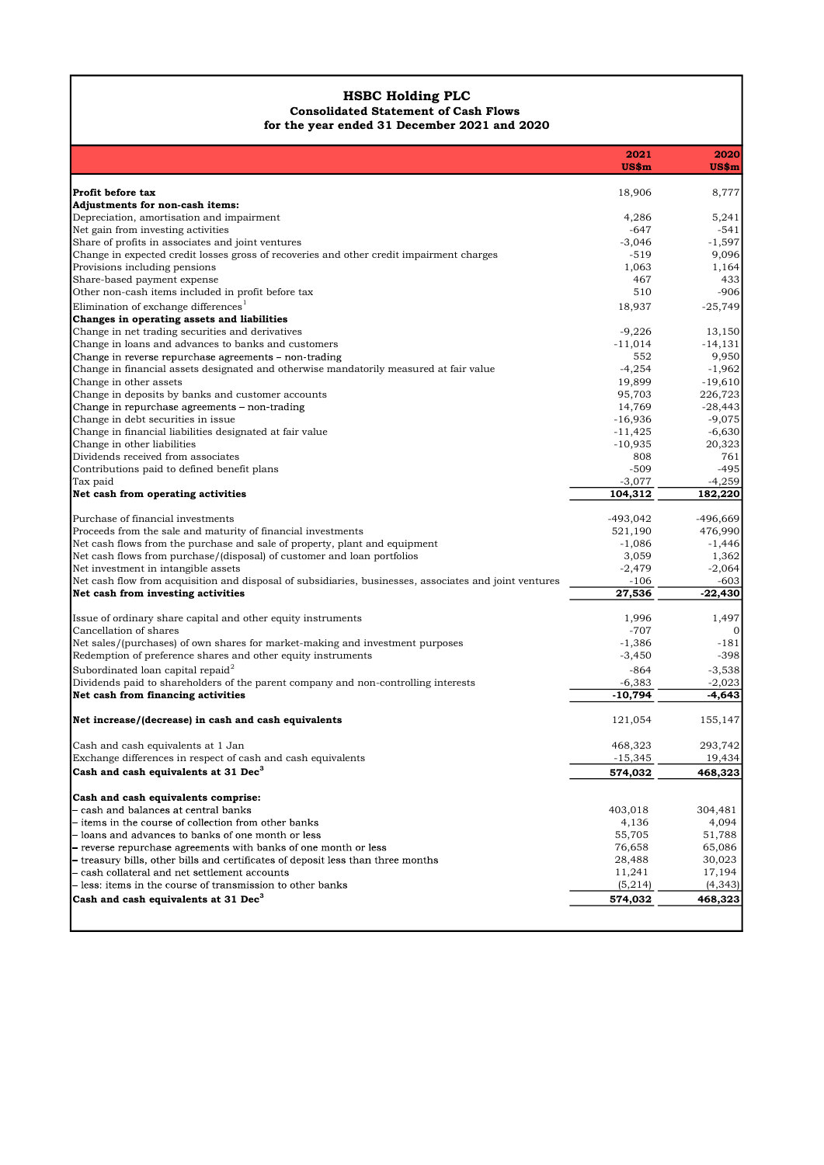#### HSBC Holding PLC Consolidated Statement of Cash Flows for the year ended 31 December 2021 and 2020

| <b>HSBC Holding PLC</b><br><b>Consolidated Statement of Cash Flows</b><br>for the year ended 31 December 2021 and 2020                                                                                                                                                                 | 2021<br>$US\$ m<br>18,906<br>4,286<br>-647 | 2020<br>US\$m<br>8,777 |
|----------------------------------------------------------------------------------------------------------------------------------------------------------------------------------------------------------------------------------------------------------------------------------------|--------------------------------------------|------------------------|
| Profit before tax<br>Depreciation, amortisation and impairment                                                                                                                                                                                                                         |                                            |                        |
| Adjustments for non-cash items:<br>Net gain from investing activities<br>Share of profits in associates and joint ventures<br>Change in expected credit losses gross of recoveries and other credit impairment charges<br>Provisions including pensions<br>Share-based payment expense |                                            |                        |
|                                                                                                                                                                                                                                                                                        |                                            |                        |
|                                                                                                                                                                                                                                                                                        |                                            |                        |
|                                                                                                                                                                                                                                                                                        |                                            | 5,241<br>$-541$        |
|                                                                                                                                                                                                                                                                                        | -3,046                                     | $-1,597$               |
|                                                                                                                                                                                                                                                                                        | $-519$<br>1,063                            | 9,096<br>1,164         |
|                                                                                                                                                                                                                                                                                        | 467                                        | 433                    |
| Other non-cash items included in profit before tax                                                                                                                                                                                                                                     | 510                                        | $-906$                 |
| Elimination of exchange differences <sup>1</sup><br>Changes in operating assets and liabilities                                                                                                                                                                                        | 18,937                                     | $-25,749$              |
| Change in net trading securities and derivatives                                                                                                                                                                                                                                       | $-9,226$                                   | 13,150                 |
| Change in loans and advances to banks and customers<br>Change in reverse repurchase agreements - non-trading                                                                                                                                                                           | $-11,014$<br>552                           | $-14, 131$<br>9,950    |
| Change in financial assets designated and otherwise mandatorily measured at fair value                                                                                                                                                                                                 | $-4,254$                                   | $-1,962$               |
| Change in other assets                                                                                                                                                                                                                                                                 | 19,899                                     | $-19,610$              |
| Change in deposits by banks and customer accounts<br>Change in repurchase agreements – non-trading                                                                                                                                                                                     | 95,703<br>14,769                           | 226,723<br>$-28,443$   |
| Change in debt securities in issue                                                                                                                                                                                                                                                     | $-16,936$                                  | $-9,075$               |
| Change in financial liabilities designated at fair value<br>Change in other liabilities                                                                                                                                                                                                | $-11,425$<br>$-10,935$                     | $-6,630$<br>20,323     |
| Dividends received from associates                                                                                                                                                                                                                                                     | 808                                        | 761                    |
| Contributions paid to defined benefit plans<br>Tax paid                                                                                                                                                                                                                                | $-509$<br>$-3,077$                         | $-495$<br>$-4,259$     |
| Net cash from operating activities                                                                                                                                                                                                                                                     | 104,312                                    | 182,220                |
| Purchase of financial investments                                                                                                                                                                                                                                                      | -493,042                                   | $-496,669$             |
| Proceeds from the sale and maturity of financial investments                                                                                                                                                                                                                           | 521,190                                    | 476,990                |
| Net cash flows from the purchase and sale of property, plant and equipment                                                                                                                                                                                                             | $-1,086$                                   | $-1,446$               |
| Net cash flows from purchase/(disposal) of customer and loan portfolios<br>Net investment in intangible assets                                                                                                                                                                         | 3,059<br>$-2,479$                          | 1,362<br>$-2,064$      |
| Net cash flow from acquisition and disposal of subsidiaries, businesses, associates and joint ventures                                                                                                                                                                                 | $-106$                                     | $-603$                 |
| Net cash from investing activities                                                                                                                                                                                                                                                     | 27,536                                     | $-22,430$              |
| Issue of ordinary share capital and other equity instruments                                                                                                                                                                                                                           | 1,996                                      | 1,497                  |
| Cancellation of shares<br>Net sales/(purchases) of own shares for market-making and investment purposes                                                                                                                                                                                | $-707$<br>$-1,386$                         | $-181$                 |
| Redemption of preference shares and other equity instruments                                                                                                                                                                                                                           | $-3,450$                                   | $-398$                 |
| Subordinated loan capital repaid <sup>2</sup>                                                                                                                                                                                                                                          | $-864$                                     | $-3,538$               |
| Dividends paid to shareholders of the parent company and non-controlling interests<br>Net cash from financing activities                                                                                                                                                               | $-6,383$<br>$-10,794$                      | $-2,023$<br>$-4,643$   |
| Net increase/(decrease) in cash and cash equivalents                                                                                                                                                                                                                                   | 121,054                                    | 155,147                |
|                                                                                                                                                                                                                                                                                        |                                            |                        |
| Cash and cash equivalents at 1 Jan<br>Exchange differences in respect of cash and cash equivalents                                                                                                                                                                                     | 468,323<br>$-15,345$                       | 293,742<br>19,434      |
| Cash and cash equivalents at 31 Dec <sup>3</sup>                                                                                                                                                                                                                                       | 574,032                                    | 468,323                |
| Cash and cash equivalents comprise:                                                                                                                                                                                                                                                    |                                            |                        |
| - cash and balances at central banks                                                                                                                                                                                                                                                   | 403,018                                    | 304,481                |
| - items in the course of collection from other banks                                                                                                                                                                                                                                   | 4,136                                      | 4,094                  |
| - loans and advances to banks of one month or less<br>- reverse repurchase agreements with banks of one month or less                                                                                                                                                                  | 55,705<br>76,658                           | 51,788<br>65,086       |
| - treasury bills, other bills and certificates of deposit less than three months                                                                                                                                                                                                       | 28,488                                     | 30,023                 |
| - cash collateral and net settlement accounts                                                                                                                                                                                                                                          | 11,241                                     | 17,194                 |
| - less: items in the course of transmission to other banks<br>Cash and cash equivalents at 31 Dec <sup>3</sup>                                                                                                                                                                         | (5,214)<br>574,032                         | (4, 343)<br>468,323    |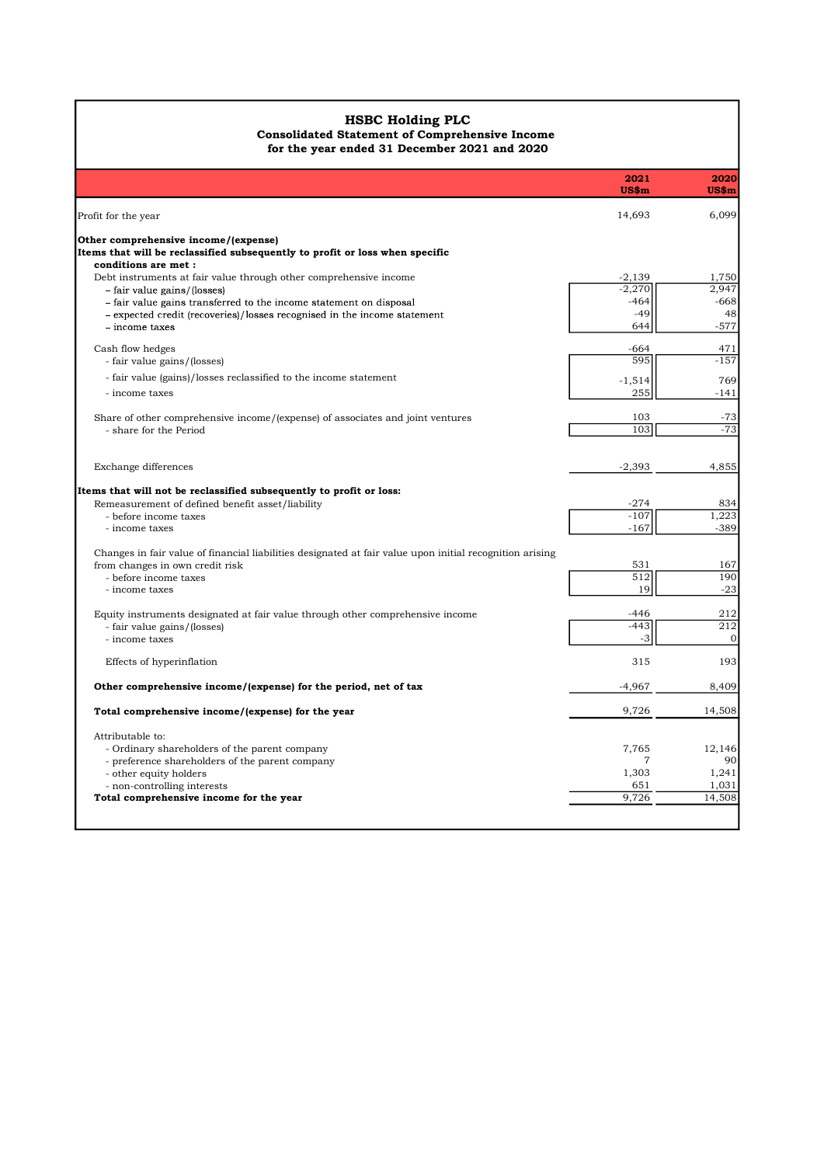## HSBC Holding PLC Consolidated Statement of Comprehensive Income

| <b>HSBC Holding PLC</b><br><b>Consolidated Statement of Comprehensive Income</b>                                        |                         |                         |
|-------------------------------------------------------------------------------------------------------------------------|-------------------------|-------------------------|
| for the year ended 31 December 2021 and 2020                                                                            |                         |                         |
|                                                                                                                         | 2021<br>US\$m           | 2020<br>US\$m           |
| Profit for the year                                                                                                     | 14,693                  | 6,099                   |
| Other comprehensive income/(expense)<br>Items that will be reclassified subsequently to profit or loss when specific    |                         |                         |
| conditions are met :<br>Debt instruments at fair value through other comprehensive income                               | $-2,139$                | 1,750                   |
| - fair value gains/(losses)<br>- fair value gains transferred to the income statement on disposal                       | $-2,270$<br>$-464$      | 2,947<br>$-668$         |
| - expected credit (recoveries)/losses recognised in the income statement<br>- income taxes                              | -49<br>644              | 48<br>$-577$            |
| Cash flow hedges                                                                                                        | $-664$                  | 471                     |
| - fair value gains/(losses)<br>- fair value (gains)/losses reclassified to the income statement                         | 595                     | $-157$<br>769           |
| - income taxes                                                                                                          | $-1,514$<br>255         | $-141$                  |
| Share of other comprehensive income/(expense) of associates and joint ventures<br>- share for the Period                | 103<br>103              | $-73$<br>$-73$          |
|                                                                                                                         |                         |                         |
| Exchange differences                                                                                                    | $-2,393$                | 4,855                   |
| Items that will not be reclassified subsequently to profit or loss:<br>Remeasurement of defined benefit asset/liability | $-274$                  | 834                     |
| - before income taxes<br>- income taxes                                                                                 | $-107$<br>$-167$        | 1,223<br>$-389$         |
| Changes in fair value of financial liabilities designated at fair value upon initial recognition arising                |                         |                         |
| from changes in own credit risk<br>- before income taxes                                                                | 531<br>512              | 167<br>190              |
| - income taxes                                                                                                          | 19                      | $-23$                   |
| Equity instruments designated at fair value through other comprehensive income<br>- fair value gains/(losses)           | -446<br>$-443$          | 212<br>$\overline{212}$ |
| - income taxes                                                                                                          | $-3$                    | $\overline{0}$          |
| Effects of hyperinflation                                                                                               | 315                     | 193                     |
| Other comprehensive income/(expense) for the period, net of tax                                                         | $-4,967$                | 8,409                   |
| Total comprehensive income/(expense) for the year                                                                       | 9,726                   | 14,508                  |
| Attributable to:<br>- Ordinary shareholders of the parent company                                                       | 7,765                   | 12,146                  |
| - preference shareholders of the parent company<br>- other equity holders                                               | $\overline{7}$<br>1,303 | 90<br>1,241             |
| - non-controlling interests<br>Total comprehensive income for the year                                                  | 651<br>9,726            | 1,031<br>14,508         |
|                                                                                                                         |                         |                         |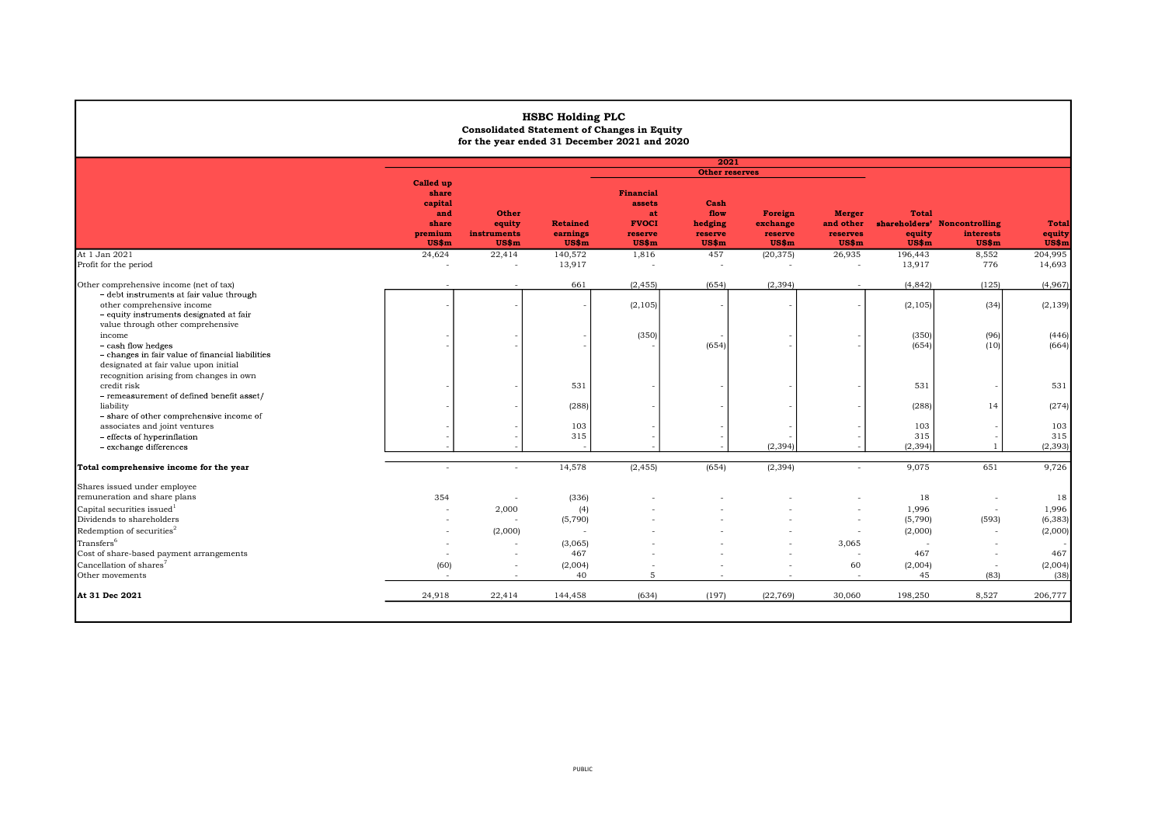|                                                                                                                                                        |                                                      | <b>Consolidated Statement of Changes in Equity</b><br>for the year ended 31 December 2021 and 2020 | <b>HSBC Holding PLC</b>                |                                                                      |                                             |                                         |                                                 |                                 |                                                    |                                 |
|--------------------------------------------------------------------------------------------------------------------------------------------------------|------------------------------------------------------|----------------------------------------------------------------------------------------------------|----------------------------------------|----------------------------------------------------------------------|---------------------------------------------|-----------------------------------------|-------------------------------------------------|---------------------------------|----------------------------------------------------|---------------------------------|
|                                                                                                                                                        |                                                      |                                                                                                    |                                        |                                                                      | 2021                                        |                                         |                                                 |                                 |                                                    |                                 |
|                                                                                                                                                        | <b>Called up</b>                                     |                                                                                                    |                                        |                                                                      | <b>Other reserves</b>                       |                                         |                                                 |                                 |                                                    |                                 |
|                                                                                                                                                        | share<br>capital<br>and<br>share<br>premium<br>US\$m | Other<br>equity<br>instruments<br>US\$m                                                            | <b>Retained</b><br>earnings<br>$US\$ m | <b>Financial</b><br>assets<br>at<br><b>FVOCI</b><br>reserve<br>US\$m | Cash<br>flow<br>hedging<br>reserve<br>US\$m | Foreign<br>exchange<br>reserve<br>US\$m | <b>Merger</b><br>and other<br>reserves<br>US\$m | <b>Total</b><br>equity<br>US\$m | shareholders' Noncontrolling<br>interests<br>US\$m | <b>Total</b><br>equity<br>US\$m |
| At 1 Jan 2021<br>Profit for the period                                                                                                                 | 24,624                                               | 22,414<br>$\sim$                                                                                   | 140,572<br>13,917                      | 1,816<br>$\sim$                                                      | 457<br>$\overline{\phantom{a}}$             | (20, 375)<br>$\overline{\phantom{a}}$   | 26,935<br>$\sim$                                | 196,443<br>13,917               | 8,552<br>776                                       | 204,995<br>14,693               |
|                                                                                                                                                        |                                                      |                                                                                                    |                                        |                                                                      |                                             |                                         |                                                 |                                 |                                                    |                                 |
| Other comprehensive income (net of tax)                                                                                                                |                                                      |                                                                                                    | 661                                    | (2, 455)                                                             | (654)                                       | (2, 394)                                |                                                 | (4, 842)                        | (125)                                              | (4,967)                         |
| - debt instruments at fair value through<br>other comprehensive income<br>- equity instruments designated at fair<br>value through other comprehensive |                                                      |                                                                                                    |                                        | (2, 105)                                                             |                                             |                                         |                                                 | (2, 105)                        | (34)                                               | (2, 139)                        |
| income<br>- cash flow hedges<br>- changes in fair value of financial liabilities<br>designated at fair value upon initial                              |                                                      |                                                                                                    |                                        | (350)                                                                | (654)                                       |                                         |                                                 | (350)<br>(654)                  | (96)<br>(10)                                       | (446)<br>(664)                  |
| recognition arising from changes in own<br>credit risk<br>- remeasurement of defined benefit asset/                                                    |                                                      |                                                                                                    | 531                                    |                                                                      |                                             |                                         |                                                 | 531                             |                                                    | 531                             |
| liability<br>- share of other comprehensive income of                                                                                                  |                                                      |                                                                                                    | (288)                                  |                                                                      |                                             |                                         |                                                 | (288)                           | 14                                                 | (274)                           |
| associates and joint ventures                                                                                                                          |                                                      |                                                                                                    | 103                                    |                                                                      |                                             |                                         |                                                 | 103                             |                                                    | 103                             |
| - effects of hyperinflation<br>- exchange differences                                                                                                  |                                                      |                                                                                                    | 315                                    |                                                                      |                                             | (2.394)                                 |                                                 | 315<br>(2, 394)                 | $\overline{1}$                                     | 315<br>(2, 393)                 |
|                                                                                                                                                        |                                                      |                                                                                                    |                                        |                                                                      |                                             |                                         |                                                 |                                 |                                                    |                                 |
| Total comprehensive income for the year                                                                                                                |                                                      | $\sim$                                                                                             | 14,578                                 | (2, 455)                                                             | (654)                                       | (2, 394)                                |                                                 | 9,075                           | 651                                                | 9,726                           |
| Shares issued under employee<br>remuneration and share plans                                                                                           | 354                                                  | $\overline{\phantom{a}}$                                                                           | (336)                                  |                                                                      |                                             |                                         |                                                 | 18                              |                                                    | 18                              |
| Capital securities issued <sup>1</sup>                                                                                                                 |                                                      | 2,000                                                                                              | (4)                                    |                                                                      |                                             |                                         |                                                 | 1,996                           | $\overline{\phantom{a}}$                           | 1,996                           |
| Dividends to shareholders                                                                                                                              |                                                      | $\overline{\phantom{a}}$                                                                           | (5,790)                                |                                                                      |                                             |                                         |                                                 | (5,790)                         | (593)                                              | (6, 383)                        |
| Redemption of securities <sup>2</sup>                                                                                                                  |                                                      | (2,000)                                                                                            |                                        |                                                                      |                                             |                                         |                                                 | (2,000)                         | $\overline{\phantom{a}}$                           | (2,000)                         |
| Transfers <sup>6</sup>                                                                                                                                 |                                                      | $\overline{\phantom{a}}$                                                                           | (3,065)                                |                                                                      |                                             |                                         | 3,065                                           |                                 |                                                    |                                 |
| Cost of share-based payment arrangements                                                                                                               |                                                      | $\sim$                                                                                             | 467                                    |                                                                      |                                             |                                         |                                                 | 467                             |                                                    | 467                             |
| Cancellation of shares <sup>7</sup><br>Other movements                                                                                                 | (60)<br>$\overline{\phantom{a}}$                     | $\overline{\phantom{a}}$                                                                           | (2,004)<br>40                          | 5                                                                    |                                             | ٠                                       | 60<br>. .                                       | (2,004)<br>45                   | (83)                                               | (2,004)<br>(38)                 |
| At 31 Dec 2021                                                                                                                                         | 24,918                                               | 22,414                                                                                             | 144,458                                | (634)                                                                | (197)                                       | (22, 769)                               | 30,060                                          | 198,250                         | 8,527                                              | 206,777                         |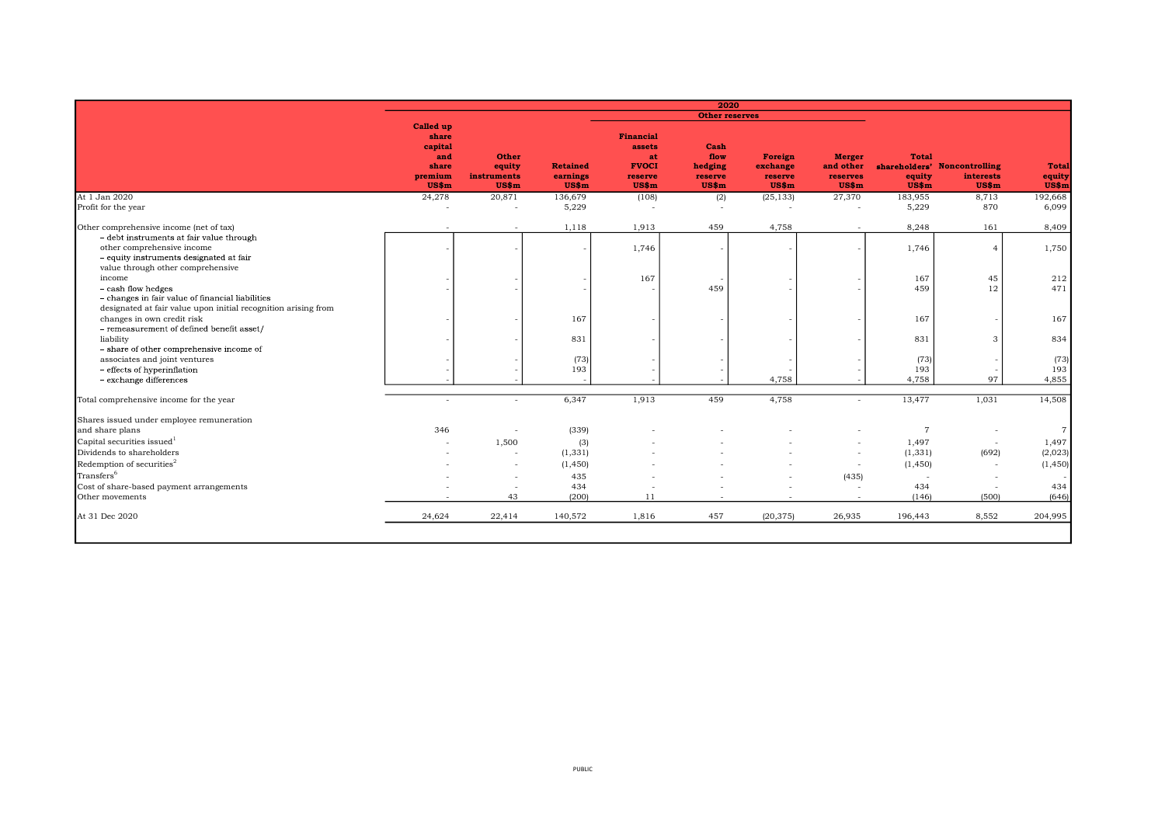|                                                                          |                                                |                                      |                                                               | 2020                                          |                                         |                                                 |                 |                                   |                                       |
|--------------------------------------------------------------------------|------------------------------------------------|--------------------------------------|---------------------------------------------------------------|-----------------------------------------------|-----------------------------------------|-------------------------------------------------|-----------------|-----------------------------------|---------------------------------------|
|                                                                          |                                                |                                      |                                                               |                                               |                                         |                                                 |                 |                                   |                                       |
| <b>Called up</b><br>share<br>capital<br>and<br>share<br>premium<br>US\$m | <b>Other</b><br>equity<br>instruments<br>US\$m | <b>Retained</b><br>earnings<br>US\$m | Financial<br>assets<br>at<br><b>FVOCI</b><br>reserve<br>US\$m | Cash<br>flow<br>hedging<br>reserve<br>$US\$ m | Foreign<br>exchange<br>reserve<br>US\$m | <b>Merger</b><br>and other<br>reserves<br>US\$m | equity<br>US\$m | interests                         | <b>Total</b><br>equity<br>US\$m       |
| 24,278                                                                   | 20,871                                         | 136,679                              | (108)                                                         |                                               |                                         | 27,370                                          | 183,955         | 8,713                             | 192,668                               |
|                                                                          |                                                | 5,229                                |                                                               |                                               |                                         |                                                 | 5,229           | 870                               | 6,099                                 |
|                                                                          |                                                | 1,118                                | 1,913                                                         | 459                                           | 4,758                                   |                                                 | 8,248           | 161                               | 8,409                                 |
|                                                                          |                                                |                                      | 1,746                                                         |                                               |                                         |                                                 | 1,746           | $\Delta$                          | 1,750                                 |
|                                                                          |                                                |                                      | 167                                                           |                                               |                                         |                                                 |                 | 45                                | 212                                   |
|                                                                          |                                                |                                      |                                                               | 459                                           |                                         |                                                 | 459             | 12                                | 471                                   |
|                                                                          |                                                | 167                                  |                                                               |                                               |                                         |                                                 | 167             |                                   | 167                                   |
|                                                                          |                                                | 831                                  |                                                               |                                               |                                         |                                                 | 831             | 3                                 | 834                                   |
|                                                                          |                                                | (73)                                 |                                                               |                                               |                                         |                                                 | (73)            |                                   | (73)                                  |
|                                                                          |                                                |                                      |                                                               |                                               | 4.758                                   |                                                 | 4,758           | 97                                | 193<br>4,855                          |
|                                                                          |                                                | 6,347                                | 1,913                                                         | 459                                           | 4,758                                   |                                                 | 13,477          | 1,031                             | 14,508                                |
|                                                                          |                                                |                                      |                                                               |                                               |                                         |                                                 |                 |                                   |                                       |
| 346                                                                      |                                                | (339)                                |                                                               |                                               |                                         |                                                 |                 |                                   | $\overline{7}$                        |
|                                                                          | 1,500                                          | (3)                                  |                                                               |                                               |                                         |                                                 | 1,497           | $\overline{\phantom{a}}$          | 1,497                                 |
|                                                                          | $\overline{\phantom{a}}$                       | (1, 331)                             |                                                               |                                               |                                         | $\overline{\phantom{a}}$                        | (1, 331)        | (692)                             | (2,023)                               |
|                                                                          | $\sim$                                         | (1, 450)                             |                                                               |                                               |                                         | $\overline{\phantom{a}}$                        | (1, 450)        | $\overline{\phantom{a}}$          | (1, 450)                              |
|                                                                          | $\sim$                                         | 435                                  |                                                               |                                               |                                         | (435)                                           |                 | $\overline{\phantom{a}}$          |                                       |
|                                                                          | $\overline{\phantom{a}}$                       |                                      |                                                               |                                               |                                         | $\overline{\phantom{a}}$                        |                 |                                   | 434                                   |
|                                                                          | 43                                             |                                      | 11                                                            |                                               |                                         |                                                 | (146)           | (500)                             | (646)                                 |
| 24,624                                                                   | 22,414                                         | 140,572                              | 1,816                                                         | 457                                           | (20, 375)                               | 26,935                                          | 196,443         | 8,552                             | 204,995                               |
|                                                                          |                                                |                                      | 193<br>434<br>(200)                                           |                                               | (2)                                     | <b>Other reserves</b><br>(25, 133)              |                 | <b>Total</b><br>167<br>193<br>434 | shareholders' Noncontrolling<br>US\$m |